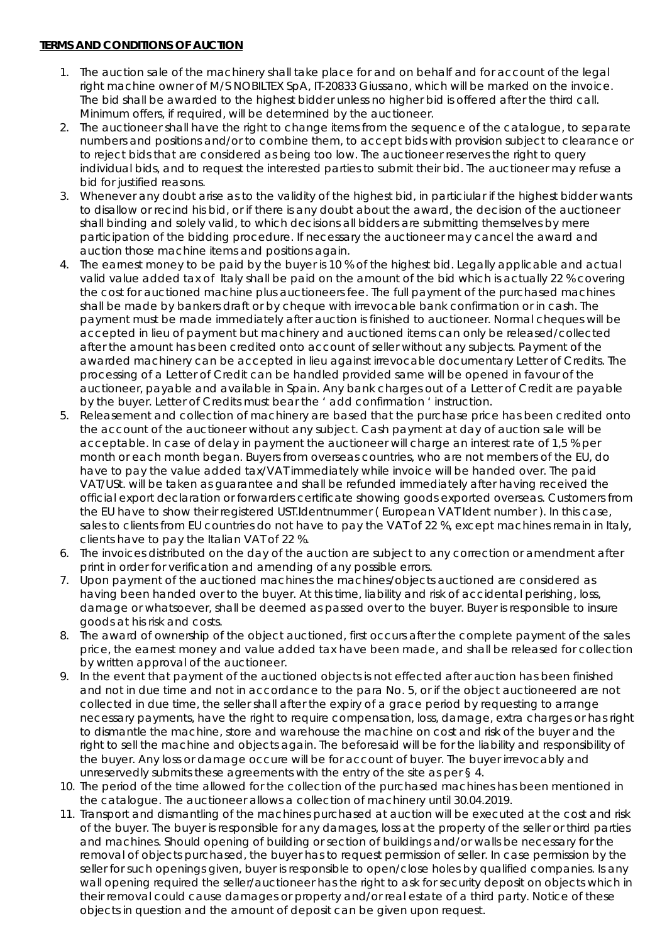# **TERMS AND CONDITIONS OF AUCTION**

- 1. The auction sale of the machinery shall take place for and on behalf and for account of the legal right machine owner of M/S NOBILTEX SpA, IT-20833 Giussano, which will be marked on the invoice. The bid shall be awarded to the highest bidder unless no higher bid is offered after the third call. Minimum offers, if required, will be determined by the auctioneer.
- 2. The auctioneer shall have the right to change items from the sequence of the catalogue, to separate numbers and positions and/or to combine them, to accept bids with provision subject to clearance or to reject bids that are considered as being too low. The auctioneer reserves the right to query individual bids, and to request the interested parties to submit their bid. The auctioneer may refuse a bid for justified reasons.
- 3. Whenever any doubt arise as to the validity of the highest bid, in particiular if the highest bidder wants to disallow or recind his bid, or if there is any doubt about the award, the decision of the auctioneer shall binding and solely valid, to which decisions all bidders are submitting themselves by mere participation of the bidding procedure. If necessary the auctioneer may cancel the award and auction those machine items and positions again.
- 4. The earnest money to be paid by the buyer is 10 % of the highest bid. Legally applicable and actual valid value added tax of Italy shall be paid on the amount of the bid which is actually 22 % covering the cost for auctioned machine plus auctioneers fee. The full payment of the purchased machines shall be made by bankers draft or by cheque with irrevocable bank confirmation or in cash. The payment must be made immediately after auction is finished to auctioneer. Normal cheques will be accepted in lieu of payment but machinery and auctioned items can only be released/collected after the amount has been credited onto account of seller without any subjects. Payment of the awarded machinery can be accepted in lieu against irrevocable documentary Letter of Credits. The processing of a Letter of Credit can be handled provided same will be opened in favour of the auctioneer, payable and available in Spain. Any bank charges out of a Letter of Credit are payable by the buyer. Letter of Credits must bear the ' add confirmation ' instruction.
- 5. Releasement and collection of machinery are based that the purchase price has been credited onto the account of the auctioneer without any subject. Cash payment at day of auction sale will be acceptable. In case of delay in payment the auctioneer will charge an interest rate of 1,5 % per month or each month began. Buyers from overseas countries, who are not members of the EU, do have to pay the value added tax/VAT immediately while invoice will be handed over. The paid VAT/USt. will be taken as guarantee and shall be refunded immediately after having received the official export declaration or forwarders certificate showing goods exported overseas. Customers from the EU have to show their registered UST.Identnummer ( European VAT Ident number ). In this case, sales to clients from EU countries do not have to pay the VAT of 22 %, except machines remain in Italy, clients have to pay the Italian VAT of 22 %.
- 6. The invoices distributed on the day of the auction are subject to any correction or amendment after print in order for verification and amending of any possible errors.
- 7. Upon payment of the auctioned machines the machines/objects auctioned are considered as having been handed over to the buyer. At this time, liability and risk of accidental perishing, loss, damage or whatsoever, shall be deemed as passed over to the buyer. Buyer is responsible to insure goods at his risk and costs.
- 8. The award of ownership of the object auctioned, first occurs after the complete payment of the sales price, the earnest money and value added tax have been made, and shall be released for collection by written approval of the auctioneer.
- 9. In the event that payment of the auctioned objects is not effected after auction has been finished and not in due time and not in accordance to the para No. 5, or if the object auctioneered are not collected in due time, the seller shall after the expiry of a grace period by requesting to arrange necessary payments, have the right to require compensation, loss, damage, extra charges or has right to dismantle the machine, store and warehouse the machine on cost and risk of the buyer and the right to sell the machine and objects again. The beforesaid will be for the liability and responsibility of the buyer. Any loss or damage occure will be for account of buyer. The buyer irrevocably and unreservedly submits these agreements with the entry of the site as per § 4.
- 10. The period of the time allowed for the collection of the purchased machines has been mentioned in the catalogue. The auctioneer allows a collection of machinery until 30.04.2019.
- 11. Transport and dismantling of the machines purchased at auction will be executed at the cost and risk of the buyer. The buyer is responsible for any damages, loss at the property of the seller or third parties and machines. Should opening of building or section of buildings and/or walls be necessary for the removal of objects purchased, the buyer has to request permission of seller. In case permission by the seller for such openings given, buyer is responsible to open/close holes by qualified companies. Is any wall opening required the seller/auctioneer has the right to ask for security deposit on objects which in their removal could cause damages or property and/or real estate of a third party. Notice of these objects in question and the amount of deposit can be given upon request.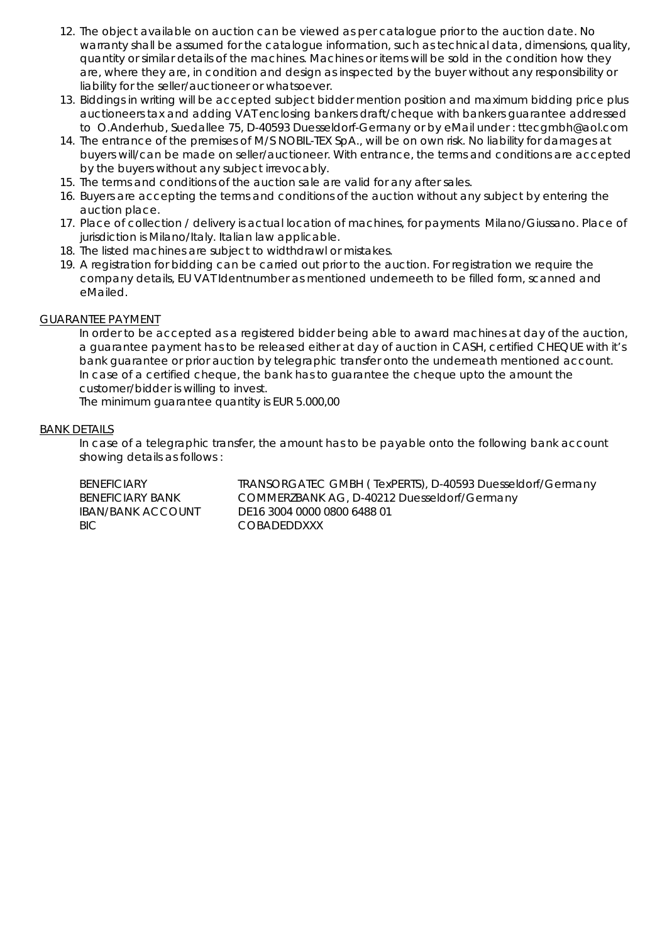- 12. The object available on auction can be viewed as per catalogue prior to the auction date. No warranty shall be assumed for the catalogue information, such as technical data, dimensions, quality, quantity or similar details of the machines. Machines or items will be sold in the condition how they are, where they are, in condition and design as inspected by the buyer without any responsibility or liability for the seller/auctioneer or whatsoever.
- 13. Biddings in writing will be accepted subject bidder mention position and maximum bidding price plus auctioneers tax and adding VAT enclosing bankers draft/cheque with bankers guarantee addressed to O.Anderhub, Suedallee 75, D-40593 Duesseldorf-Germany or by eMail under : [ttecgmbh@aol.com](mailto:ttecgmbh@aol.com)
- 14. The entrance of the premises of M/S NOBIL-TEX SpA., will be on own risk. No liability for damages at buyers will/can be made on seller/auctioneer. With entrance, the terms and conditions are accepted by the buyers without any subject irrevocably.
- 15. The terms and conditions of the auction sale are valid for any after sales.
- 16. Buyers are accepting the terms and conditions of the auction without any subject by entering the auction place.
- 17. Place of collection / delivery is actual location of machines, for payments Milano/Giussano. Place of jurisdiction is Milano/Italy. Italian law applicable.
- 18. The listed machines are subject to widthdrawl or mistakes.
- 19. A registration for bidding can be carried out prior to the auction. For registration we require the company details, EU VAT Identnumber as mentioned underneeth to be filled form, scanned and eMailed.

### GUARANTEE PAYMENT

In order to be accepted as a registered bidder being able to award machines at day of the auction, a guarantee payment has to be released either at day of auction in CASH, certified CHEQUE with it's bank guarantee or prior auction by telegraphic transfer onto the underneath mentioned account. In case of a certified cheque, the bank has to guarantee the cheque upto the amount the customer/bidder is willing to invest.

The minimum guarantee quantity is EUR 5.000,00

### BANK DETAILS

In case of a telegraphic transfer, the amount has to be payable onto the following bank account showing details as follows :

BENEFICIARY TRANSORGATEC GMBH (TexPERTS), D-40593 Duesseldorf/Germany<br>BENEFICIARY BANK COMMERZBANK AG, D-40212 Duesseldorf/Germany COMMERZBANK AG, D-40212 Duesseldorf/Germany IBAN/BANK ACCOUNT DE16 3004 0000 0800 6488 01 BIC COBADEDDXXX